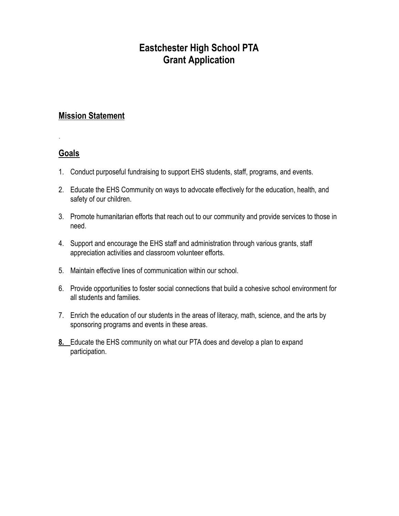# **Eastchester High School PTA Grant Application**

### **Mission Statement**

## **Goals**

.

- 1. Conduct purposeful fundraising to support EHS students, staff, programs, and events.
- 2. Educate the EHS Community on ways to advocate effectively for the education, health, and safety of our children.
- 3. Promote humanitarian efforts that reach out to our community and provide services to those in need.
- 4. Support and encourage the EHS staff and administration through various grants, staff appreciation activities and classroom volunteer efforts.
- 5. Maintain effective lines of communication within our school.
- 6. Provide opportunities to foster social connections that build a cohesive school environment for all students and families.
- 7. Enrich the education of our students in the areas of literacy, math, science, and the arts by sponsoring programs and events in these areas.
- **8.** Educate the EHS community on what our PTA does and develop a plan to expand participation.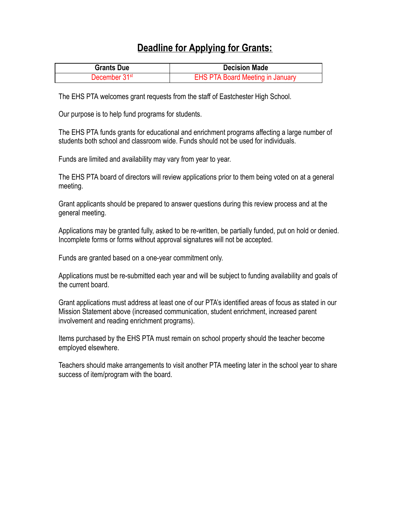## **Deadline for Applying for Grants:**

| <b>Grants Due</b>         | <b>Decision Made</b>                    |
|---------------------------|-----------------------------------------|
| December 31 <sup>st</sup> | <b>EHS PTA Board Meeting in January</b> |

The EHS PTA welcomes grant requests from the staff of Eastchester High School.

Our purpose is to help fund programs for students.

The EHS PTA funds grants for educational and enrichment programs affecting a large number of students both school and classroom wide. Funds should not be used for individuals.

Funds are limited and availability may vary from year to year.

The EHS PTA board of directors will review applications prior to them being voted on at a general meeting.

Grant applicants should be prepared to answer questions during this review process and at the general meeting.

Applications may be granted fully, asked to be re-written, be partially funded, put on hold or denied. Incomplete forms or forms without approval signatures will not be accepted.

Funds are granted based on a one-year commitment only.

Applications must be re-submitted each year and will be subject to funding availability and goals of the current board.

Grant applications must address at least one of our PTA's identified areas of focus as stated in our Mission Statement above (increased communication, student enrichment, increased parent involvement and reading enrichment programs).

Items purchased by the EHS PTA must remain on school property should the teacher become employed elsewhere.

Teachers should make arrangements to visit another PTA meeting later in the school year to share success of item/program with the board.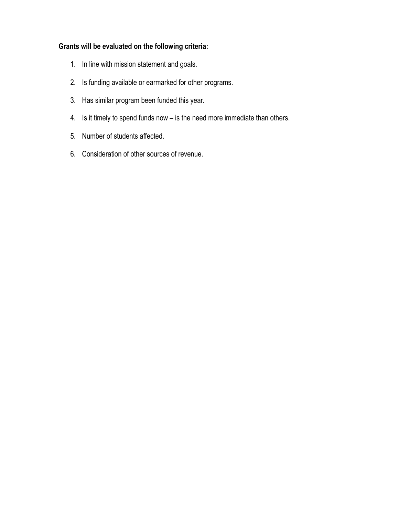### **Grants will be evaluated on the following criteria:**

- 1. In line with mission statement and goals.
- 2. Is funding available or earmarked for other programs.
- 3. Has similar program been funded this year.
- 4. Is it timely to spend funds now is the need more immediate than others.
- 5. Number of students affected.
- 6. Consideration of other sources of revenue.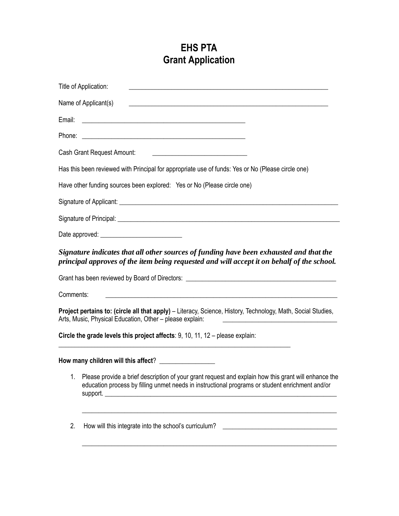# **EHS PTA Grant Application**

| Title of Application:                                                                                                                                                                                         |                                                                                                                      |
|---------------------------------------------------------------------------------------------------------------------------------------------------------------------------------------------------------------|----------------------------------------------------------------------------------------------------------------------|
| Name of Applicant(s)<br><u> 1989 - Johann Stoff, deutscher Stoff, der Stoff, der Stoff, der Stoff, der Stoff, der Stoff, der Stoff, der S</u>                                                                 |                                                                                                                      |
| Email:                                                                                                                                                                                                        |                                                                                                                      |
|                                                                                                                                                                                                               |                                                                                                                      |
| Cash Grant Request Amount:<br><u> 1989 - Johann Barn, fransk politik formuler (d. 1989)</u>                                                                                                                   |                                                                                                                      |
| Has this been reviewed with Principal for appropriate use of funds: Yes or No (Please circle one)                                                                                                             |                                                                                                                      |
| Have other funding sources been explored: Yes or No (Please circle one)                                                                                                                                       |                                                                                                                      |
|                                                                                                                                                                                                               |                                                                                                                      |
|                                                                                                                                                                                                               |                                                                                                                      |
|                                                                                                                                                                                                               |                                                                                                                      |
| Signature indicates that all other sources of funding have been exhausted and that the<br>principal approves of the item being requested and will accept it on behalf of the school.                          |                                                                                                                      |
| Grant has been reviewed by Board of Directors: __________________________________                                                                                                                             |                                                                                                                      |
| Comments:<br><u> 1989 - Johann Harry Harry Harry Harry Harry Harry Harry Harry Harry Harry Harry Harry Harry Harry Harry Harry</u>                                                                            |                                                                                                                      |
| Project pertains to: (circle all that apply) – Literacy, Science, History, Technology, Math, Social Studies,<br>Arts, Music, Physical Education, Other - please explain:                                      | <u> 1980 - Jan Samuel Barbara, margaret e populari e populari e populari e populari e populari e populari e popu</u> |
| Circle the grade levels this project affects: $9, 10, 11, 12$ – please explain:                                                                                                                               |                                                                                                                      |
| How many children will this affect?                                                                                                                                                                           |                                                                                                                      |
| Please provide a brief description of your grant request and explain how this grant will enhance the<br>1.<br>education process by filling unmet needs in instructional programs or student enrichment and/or |                                                                                                                      |
| 2.<br>How will this integrate into the school's curriculum?                                                                                                                                                   | <u> 1989 - Andrea Stadt, fransk politik (d. 1989)</u>                                                                |